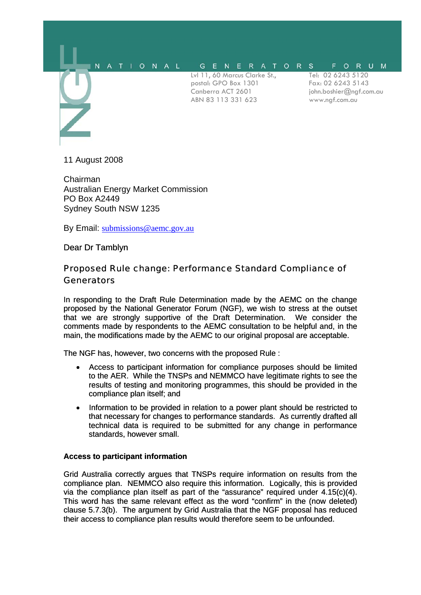

11 August 2008

Chairman Australian Energy Market Commission PO Box A2449 Sydney South NSW 1235

By Email: [submissions@aemc.gov.au](mailto:submissions@aemc.gov.au)

Dear Dr Tamblyn

## Proposed Rule change: Performance Standard Compliance of **Generators**

In responding to the Draft Rule Determination made by the AEMC on the change proposed by the National Generator Forum (NGF), we wish to stress at the outset that we are strongly supportive of the Draft Determination. We consider the comments made by respondents to the AEMC consultation to be helpful and, in the main, the modifications made by the AEMC to our original proposal are acceptable.

The NGF has, however, two concerns with the proposed Rule :

- Access to participant information for compliance purposes should be limited to the AER. While the TNSPs and NEMMCO have legitimate rights to see the results of testing and monitoring programmes, this should be provided in the compliance plan itself; and
- Information to be provided in relation to a power plant should be restricted to that necessary for changes to performance standards. As currently drafted all technical data is required to be submitted for any change in performance standards, however small.

## **Access to participant information**

Grid Australia correctly argues that TNSPs require information on results from the compliance plan. NEMMCO also require this information. Logically, this is provided via the compliance plan itself as part of the "assurance" required under 4.15(c)(4). This word has the same relevant effect as the word "confirm" in the (now deleted) clause 5.7.3(b). The argument by Grid Australia that the NGF proposal has reduced their access to compliance plan results would therefore seem to be unfounded.